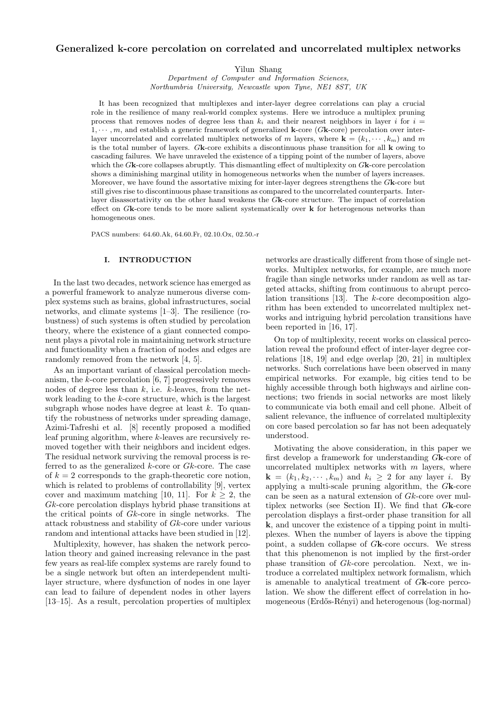# **Generalized k-core percolation on correlated and uncorrelated multiplex networks**

Yilun Shang

*Department of Computer and Information Sciences, Northumbria University, Newcastle upon Tyne, NE1 8ST, UK*

It has been recognized that multiplexes and inter-layer degree correlations can play a crucial role in the resilience of many real-world complex systems. Here we introduce a multiplex pruning process that removes nodes of degree less than  $k_i$  and their nearest neighbors in layer *i* for  $i =$ 1*, · · · , m*, and establish a generic framework of generalized **k**-core (*G***k**-core) percolation over interlayer uncorrelated and correlated multiplex networks of *m* layers, where  $\mathbf{k} = (k_1, \dots, k_m)$  and *m* is the total number of layers. *G***k**-core exhibits a discontinuous phase transition for all **k** owing to cascading failures. We have unraveled the existence of a tipping point of the number of layers, above which the *G***k**-core collapses abruptly. This dismantling effect of multiplexity on *G***k**-core percolation shows a diminishing marginal utility in homogeneous networks when the number of layers increases. Moreover, we have found the assortative mixing for inter-layer degrees strengthens the *G***k**-core but still gives rise to discontinuous phase transitions as compared to the uncorrelated counterparts. Interlayer disassortativity on the other hand weakens the *G***k**-core structure. The impact of correlation effect on *G***k**-core tends to be more salient systematically over **k** for heterogenous networks than homogeneous ones.

PACS numbers: 64.60.Ak, 64.60.Fr, 02.10.Ox, 02.50.-r

### **I. INTRODUCTION**

In the last two decades, network science has emerged as a powerful framework to analyze numerous diverse complex systems such as brains, global infrastructures, social networks, and climate systems [1–3]. The resilience (robustness) of such systems is often studied by percolation theory, where the existence of a giant connected component plays a pivotal role in maintaining network structure and functionality when a fraction of nodes and edges are randomly removed from the network [4, 5].

As an important variant of classical percolation mechanism, the *k*-core percolation [6, 7] progressively removes nodes of degree less than *k*, i.e. *k*-leaves, from the network leading to the *k*-core structure, which is the largest subgraph whose nodes have degree at least *k*. To quantify the robustness of networks under spreading damage, Azimi-Tafreshi et al. [8] recently proposed a modified leaf pruning algorithm, where *k*-leaves are recursively removed together with their neighbors and incident edges. The residual network surviving the removal process is referred to as the generalized *k*-core or *Gk*-core. The case of  $k = 2$  corresponds to the graph-theoretic core notion, which is related to problems of controllability [9], vertex cover and maximum matching [10, 11]. For  $k \geq 2$ , the *Gk*-core percolation displays hybrid phase transitions at the critical points of *Gk*-core in single networks. The attack robustness and stability of *Gk*-core under various random and intentional attacks have been studied in [12].

Multiplexity, however, has shaken the network percolation theory and gained increasing relevance in the past few years as real-life complex systems are rarely found to be a single network but often an interdependent multilayer structure, where dysfunction of nodes in one layer can lead to failure of dependent nodes in other layers [13–15]. As a result, percolation properties of multiplex networks are drastically different from those of single networks. Multiplex networks, for example, are much more fragile than single networks under random as well as targeted attacks, shifting from continuous to abrupt percolation transitions [13]. The *k*-core decomposition algorithm has been extended to uncorrelated multiplex networks and intriguing hybrid percolation transitions have been reported in [16, 17].

On top of multiplexity, recent works on classical percolation reveal the profound effect of inter-layer degree correlations [18, 19] and edge overlap [20, 21] in multiplex networks. Such correlations have been observed in many empirical networks. For example, big cities tend to be highly accessible through both highways and airline connections; two friends in social networks are most likely to communicate via both email and cell phone. Albeit of salient relevance, the influence of correlated multiplexity on core based percolation so far has not been adequately understood.

Motivating the above consideration, in this paper we first develop a framework for understanding *G***k**-core of uncorrelated multiplex networks with *m* layers, where  $\mathbf{k} = (k_1, k_2, \dots, k_m)$  and  $k_i \geq 2$  for any layer *i*. By applying a multi-scale pruning algorithm, the *G***k**-core can be seen as a natural extension of *Gk*-core over multiplex networks (see Section II). We find that *G***k**-core percolation displays a first-order phase transition for all **k**, and uncover the existence of a tipping point in multiplexes. When the number of layers is above the tipping point, a sudden collapse of *G***k**-core occurs. We stress that this phenomenon is not implied by the first-order phase transition of *Gk*-core percolation. Next, we introduce a correlated multiplex network formalism, which is amenable to analytical treatment of *G***k**-core percolation. We show the different effect of correlation in homogeneous (Erdős-Rényi) and heterogenous (log-normal)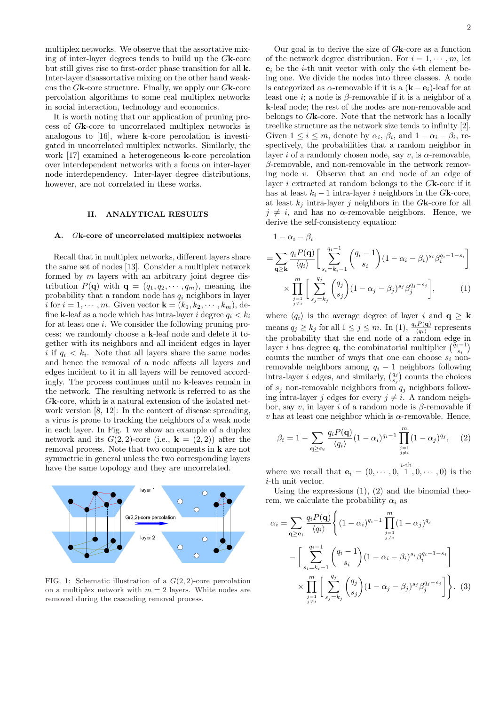multiplex networks. We observe that the assortative mixing of inter-layer degrees tends to build up the *G***k**-core but still gives rise to first-order phase transition for all **k**. Inter-layer disassortative mixing on the other hand weakens the *G***k**-core structure. Finally, we apply our *G***k**-core percolation algorithms to some real multiplex networks in social interaction, technology and economics.

It is worth noting that our application of pruning process of *G***k**-core to uncorrelated multiplex networks is analogous to [16], where **k**-core percolation is investigated in uncorrelated multiplex networks. Similarly, the work [17] examined a heterogeneous **k**-core percolation over interdependent networks with a focus on inter-layer node interdependency. Inter-layer degree distributions, however, are not correlated in these works.

### **II. ANALYTICAL RESULTS**

### **A.** *G***k-core of uncorrelated multiplex networks**

Recall that in multiplex networks, different layers share the same set of nodes [13]. Consider a multiplex network formed by *m* layers with an arbitrary joint degree distribution  $P(\mathbf{q})$  with  $\mathbf{q} = (q_1, q_2, \dots, q_m)$ , meaning the probability that a random node has *q<sup>i</sup>* neighbors in layer *i* for  $i = 1, \dots, m$ . Given vector  $\mathbf{k} = (k_1, k_2, \dots, k_m)$ , define **k**-leaf as a node which has intra-layer *i* degree  $q_i < k_i$ for at least one *i*. We consider the following pruning process: we randomly choose a **k**-leaf node and delete it together with its neighbors and all incident edges in layer *i* if  $q_i < k_i$ . Note that all layers share the same nodes and hence the removal of a node affects all layers and edges incident to it in all layers will be removed accordingly. The process continues until no **k**-leaves remain in the network. The resulting network is referred to as the *G***k**-core, which is a natural extension of the isolated network version [8, 12]: In the context of disease spreading, a virus is prone to tracking the neighbors of a weak node in each layer. In Fig. 1 we show an example of a duplex network and its  $G(2, 2)$ -core (i.e.,  $\mathbf{k} = (2, 2)$ ) after the removal process. Note that two components in **k** are not symmetric in general unless the two corresponding layers have the same topology and they are uncorrelated.



FIG. 1: Schematic illustration of a *G*(2*,* 2)-core percolation on a multiplex network with  $m = 2$  layers. White nodes are removed during the cascading removal process.

Our goal is to derive the size of *G***k**-core as a function of the network degree distribution. For  $i = 1, \dots, m$ , let  $e_i$  be the *i*-th unit vector with only the *i*-th element being one. We divide the nodes into three classes. A node is categorized as  $\alpha$ -removable if it is a  $(\mathbf{k} - \mathbf{e}_i)$ -leaf for at least one *i*; a node is *β*-removable if it is a neighbor of a **k**-leaf node; the rest of the nodes are non-removable and belongs to *G***k**-core. Note that the network has a locally treelike structure as the network size tends to infinity [2]. Given  $1 \leq i \leq m$ , denote by  $\alpha_i$ ,  $\beta_i$ , and  $1 - \alpha_i - \beta_i$ , respectively, the probabilities that a random neighbor in layer *i* of a randomly chosen node, say *v*, is *α*-removable, *β*-removable, and non-removable in the network removing node *v*. Observe that an end node of an edge of layer *i* extracted at random belongs to the *G***k**-core if it has at least  $k_i - 1$  intra-layer *i* neighbors in the  $G$ **k**-core, at least  $k_j$  intra-layer *j* neighbors in the  $G$ **k**-core for all  $j \neq i$ , and has no *α*-removable neighbors. Hence, we derive the self-consistency equation:

$$
1 - \alpha_i - \beta_i
$$
  
=  $\sum_{\mathbf{q} \ge \mathbf{k}} \frac{q_i P(\mathbf{q})}{\langle q_i \rangle} \left[ \sum_{s_i = k_i - 1}^{q_i - 1} {q_i - 1 \choose s_i} (1 - \alpha_i - \beta_i)^{s_i} \beta_i^{q_i - 1 - s_i} \right]$   

$$
\times \prod_{\substack{j=1 \ j \ne i}}^{m} \left[ \sum_{s_j = k_j}^{q_j} {q_j \choose s_j} (1 - \alpha_j - \beta_j)^{s_j} \beta_j^{q_j - s_j} \right],
$$
 (1)

where  $\langle q_i \rangle$  is the average degree of layer *i* and  $\mathbf{q} \geq \mathbf{k}$ means  $q_j \geq k_j$  for all  $1 \leq j \leq m$ . In  $(1)$ ,  $\frac{q_i P(\mathbf{q})}{\langle q_i \rangle}$  represents the probability that the end node of a random edge in layer *i* has degree **q**, the combinatorial multiplier  $\begin{pmatrix} \ddot{q}_i - 1 \\ s_i \end{pmatrix}$ counts the number of ways that one can choose  $s_i$  nonremovable neighbors among  $q_i - 1$  neighbors following intra-layer *i* edges, and similarly,  $\binom{q_j}{s_j}$  counts the choices of *s<sup>j</sup>* non-removable neighbors from *q<sup>j</sup>* neighbors following intra-layer *j* edges for every  $j \neq i$ . A random neighbor, say *v*, in layer *i* of a random node is *β*-removable if  $v$  has at least one neighbor which is  $\alpha$ -removable. Hence,

$$
\beta_i = 1 - \sum_{\mathbf{q} \ge \mathbf{e}_i} \frac{q_i P(\mathbf{q})}{\langle q_i \rangle} (1 - \alpha_i)^{q_i - 1} \prod_{\substack{j=1 \ j \ne i}}^m (1 - \alpha_j)^{q_j}, \quad (2)
$$

where we recall that  $\mathbf{e}_i = (0, \dots, 0, \stackrel{i-th}{1}, 0, \dots, 0)$  is the *i*-th unit vector.

Using the expressions  $(1)$ ,  $(2)$  and the binomial theorem, we calculate the probability  $\alpha_i$  as

$$
\alpha_{i} = \sum_{\mathbf{q} \geq \mathbf{e}_{i}} \frac{q_{i} P(\mathbf{q})}{\langle q_{i} \rangle} \Biggl\{ (1 - \alpha_{i})^{q_{i} - 1} \prod_{\substack{j=1 \ j \neq i}}^{m} (1 - \alpha_{j})^{q_{j}} \n- \Biggl[ \sum_{\substack{s_{i} = k_{i} - 1}}^{q_{i} - 1} {q_{i} - 1 \choose s_{i}} (1 - \alpha_{i} - \beta_{i})^{s_{i}} \beta_{i}^{q_{i} - 1 - s_{i}} \Biggr] \n\times \prod_{\substack{j=1 \ j \neq i}}^{m} \Biggl[ \sum_{s_{j} = k_{j}}^{q_{j}} {q_{j} \choose s_{j}} (1 - \alpha_{j} - \beta_{j})^{s_{j}} \beta_{j}^{q_{j} - s_{j}} \Biggr] \Biggr\}.
$$
 (3)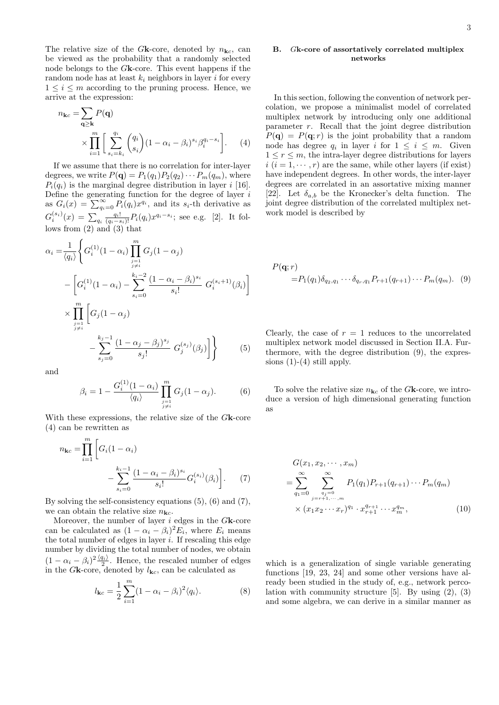The relative size of the *G***k**-core, denoted by  $n_{\mathbf{k}c}$ , can be viewed as the probability that a randomly selected node belongs to the *G***k**-core. This event happens if the random node has at least  $k_i$  neighbors in layer *i* for every  $1 \leq i \leq m$  according to the pruning process. Hence, we arrive at the expression:

$$
n_{kc} = \sum_{\mathbf{q} \ge \mathbf{k}} P(\mathbf{q})
$$
  
 
$$
\times \prod_{i=1}^{m} \left[ \sum_{s_i=k_i}^{q_i} {q_i \choose s_i} (1 - \alpha_i - \beta_i)^{s_i} \beta_i^{q_i - s_i} \right]. \tag{4}
$$

If we assume that there is no correlation for inter-layer degrees, we write  $P(\mathbf{q}) = P_1(q_1)P_2(q_2)\cdots P_m(q_m)$ , where  $P_i(q_i)$  is the marginal degree distribution in layer *i* [16]. Define the generating function for the degree of layer *i* as  $G_i(x) = \sum_{q_i=0}^{\infty} P_i(q_i) x^{q_i}$ , and its  $s_i$ -th derivative as  $G_i^{(s_i)}(x) = \sum_{q_i} \frac{q_i!}{(q_i - s_i)!} P_i(q_i) x^{q_i - s_i}$ ; see e.g. [2]. It follows from (2) and (3) that

$$
\alpha_{i} = \frac{1}{\langle q_{i} \rangle} \left\{ G_{i}^{(1)}(1 - \alpha_{i}) \prod_{\substack{j=1 \ j \neq i}}^{m} G_{j}(1 - \alpha_{j}) - \left[ G_{i}^{(1)}(1 - \alpha_{i}) - \sum_{s_{i}=0}^{k_{i}-2} \frac{(1 - \alpha_{i} - \beta_{i})^{s_{i}}}{s_{i}!} G_{i}^{(s_{i}+1)}(\beta_{i}) \right] \right\}
$$

$$
\times \prod_{\substack{j=1 \ j \neq i}}^{m} \left[ G_{j}(1 - \alpha_{j}) - \sum_{s_{j}=0}^{k_{j}-1} \frac{(1 - \alpha_{j} - \beta_{j})^{s_{j}}}{s_{j}!} G_{j}^{(s_{j})}(\beta_{j}) \right] \right\} \qquad (5)
$$

and

$$
\beta_i = 1 - \frac{G_i^{(1)}(1 - \alpha_i)}{\langle q_i \rangle} \prod_{\substack{j=1 \ j \neq i}}^m G_j(1 - \alpha_j). \tag{6}
$$

With these expressions, the relative size of the *G***k**-core (4) can be rewritten as

$$
n_{\mathbf{k}c} = \prod_{i=1}^{m} \left[ G_i (1 - \alpha_i) - \sum_{s_i=0}^{k_i - 1} \frac{(1 - \alpha_i - \beta_i)^{s_i}}{s_i!} G_i^{(s_i)}(\beta_i) \right].
$$
 (7)

By solving the self-consistency equations (5), (6) and (7), we can obtain the relative size  $n_{\mathbf{k}c}$ .

Moreover, the number of layer *i* edges in the *G***k**-core can be calculated as  $(1 - \alpha_i - \beta_i)^2 E_i$ , where  $E_i$  means the total number of edges in layer *i*. If rescaling this edge number by dividing the total number of nodes, we obtain  $(1 - \alpha_i - \beta_i)^2 \frac{\langle q_i \rangle}{2}$ . Hence, the rescaled number of edges in the  $G$ **k**-core, denoted by  $l_{\mathbf{k}c}$ , can be calculated as

$$
l_{\mathbf{k}c} = \frac{1}{2} \sum_{i=1}^{m} (1 - \alpha_i - \beta_i)^2 \langle q_i \rangle.
$$
 (8)

# **B.** *G***k-core of assortatively correlated multiplex networks**

In this section, following the convention of network percolation, we propose a minimalist model of correlated multiplex network by introducing only one additional parameter *r*. Recall that the joint degree distribution  $P(\mathbf{q}) = P(\mathbf{q}; r)$  is the joint probability that a random node has degree  $q_i$  in layer *i* for  $1 \leq i \leq m$ . Given  $1 \leq r \leq m$ , the intra-layer degree distributions for layers  $i(i = 1, \dots, r)$  are the same, while other layers (if exist) have independent degrees. In other words, the inter-layer degrees are correlated in an assortative mixing manner [22]. Let  $\delta_{a,b}$  be the Kronecker's delta function. The joint degree distribution of the correlated multiplex network model is described by

$$
P(\mathbf{q}; r) = P_1(q_1) \delta_{q_2, q_1} \cdots \delta_{q_r, q_1} P_{r+1}(q_{r+1}) \cdots P_m(q_m). \tag{9}
$$

Clearly, the case of  $r = 1$  reduces to the uncorrelated multiplex network model discussed in Section II.A. Furthermore, with the degree distribution (9), the expressions  $(1)-(4)$  still apply.

To solve the relative size  $n_{\mathbf{k}c}$  of the *G***k**-core, we introduce a version of high dimensional generating function as

$$
G(x_1, x_2, \cdots, x_m)
$$
  
= 
$$
\sum_{q_1=0}^{\infty} \sum_{\substack{q_j=0 \ j=r+1,\cdots,m}}^{\infty} P_1(q_1) P_{r+1}(q_{r+1}) \cdots P_m(q_m)
$$
  
× 
$$
(x_1 x_2 \cdots x_r)^{q_1} \cdot x_{r+1}^{q_{r+1}} \cdots x_m^{q_m},
$$
 (10)

which is a generalization of single variable generating functions [19, 23, 24] and some other versions have already been studied in the study of, e.g., network percolation with community structure [5]. By using (2), (3) and some algebra, we can derive in a similar manner as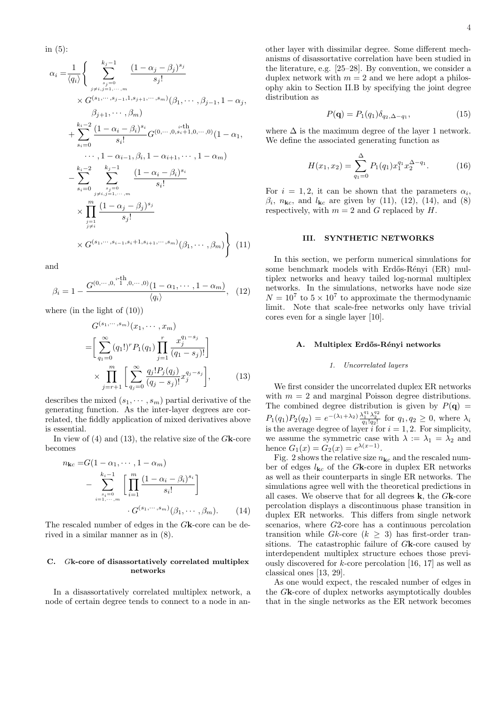in (5):

$$
\alpha_{i} = \frac{1}{\langle q_{i} \rangle} \left\{ \sum_{\substack{s_{j}=0 \ j \neq i, j=1, \dots, m}}^{k_{j}-1} \frac{(1-\alpha_{j}-\beta_{j})^{s_{j}}}{s_{j}!} \times G^{(s_{1}, \dots, s_{j-1}, 1, s_{j+1}, \dots, s_{m})}(\beta_{1}, \dots, \beta_{j-1}, 1-\alpha_{j}, \beta_{j+1}, \dots, \beta_{m}) + \sum_{s_{i}=0}^{k_{i}-2} \frac{(1-\alpha_{i}-\beta_{i})^{s_{i}}}{s_{i}!} G^{(0, \dots, 0, s_{i}+1, 0, \dots, 0)} (1-\alpha_{1}, \dots, 1-\alpha_{i-1}, \beta_{i}, 1-\alpha_{i+1}, \dots, 1-\alpha_{m}) - \sum_{s_{i}=0}^{k_{i}-2} \sum_{\substack{s_{j}=0 \ j \neq i, j=1, \dots, m \\ j \neq i}}^{k_{j}-1} \frac{(1-\alpha_{i}-\beta_{i})^{s_{i}}}{s_{i}!} \times \prod_{\substack{j=1 \ j \neq i}}^{m} \frac{(1-\alpha_{j}-\beta_{j})^{s_{j}}}{s_{j}!} \times G^{(s_{1}, \dots, s_{i-1}, s_{i+1}, s_{i+1}, \dots, s_{m})} (\beta_{1}, \dots, \beta_{m}) \right\}
$$
(11)

and

$$
\beta_i = 1 - \frac{G^{(0,\cdots,0,\stackrel{i}{1},0,\cdots,0)}(1-\alpha_1,\cdots,1-\alpha_m)}{\langle q_i \rangle}, \quad (12)
$$

where (in the light of (10))

$$
G^{(s_1, \cdots, s_m)}(x_1, \cdots, x_m)
$$
  
= 
$$
\left[ \sum_{q_1=0}^{\infty} (q_1!)^r P_1(q_1) \prod_{j=1}^r \frac{x_j^{q_1-s_j}}{(q_1-s_j)!} \right]
$$
  

$$
\times \prod_{j=r+1}^m \left[ \sum_{q_j=0}^{\infty} \frac{q_j! P_j(q_j)}{(q_j-s_j)!} x_j^{q_j-s_j} \right],
$$
 (13)

describes the mixed  $(s_1, \dots, s_m)$  partial derivative of the generating function. As the inter-layer degrees are correlated, the fiddly application of mixed derivatives above is essential.

In view of (4) and (13), the relative size of the *G***k**-core becomes

$$
n_{\mathbf{k}c} = G(1 - \alpha_1, \cdots, 1 - \alpha_m)
$$

$$
- \sum_{\substack{s_i=0 \ s_i=0}}^{k_i-1} \left[ \prod_{i=1}^m \frac{(1 - \alpha_i - \beta_i)^{s_i}}{s_i!} \right]
$$

$$
\cdot G^{(s_1, \cdots, s_m)}(\beta_1, \cdots, \beta_m). \tag{14}
$$

The rescaled number of edges in the *G***k**-core can be derived in a similar manner as in (8).

## **C.** *G***k-core of disassortatively correlated multiplex networks**

In a disassortatively correlated multiplex network, a node of certain degree tends to connect to a node in another layer with dissimilar degree. Some different mechanisms of disassortative correlation have been studied in the literature, e.g. [25–28]. By convention, we consider a duplex network with  $m = 2$  and we here adopt a philosophy akin to Section II.B by specifying the joint degree distribution as

$$
P(\mathbf{q}) = P_1(q_1) \delta_{q_2, \Delta - q_1},\tag{15}
$$

where  $\Delta$  is the maximum degree of the layer 1 network. We define the associated generating function as

$$
H(x_1, x_2) = \sum_{q_1=0}^{\Delta} P_1(q_1) x_1^{q_1} x_2^{\Delta - q_1}.
$$
 (16)

For  $i = 1, 2$ , it can be shown that the parameters  $\alpha_i$ ,  $\beta_i$ ,  $n_{\mathbf{k}c}$ , and  $l_{\mathbf{k}c}$  are given by (11), (12), (14), and (8) respectively, with  $m = 2$  and  $G$  replaced by  $H$ .

## **III. SYNTHETIC NETWORKS**

In this section, we perform numerical simulations for some benchmark models with Erdős-Rényi (ER) multiplex networks and heavy tailed log-normal multiplex networks. In the simulations, networks have node size  $N = 10^7$  to  $5 \times 10^7$  to approximate the thermodynamic limit. Note that scale-free networks only have trivial cores even for a single layer [10].

#### **A. Multiplex Erd˝os-R´enyi networks**

#### *1. Uncorrelated layers*

We first consider the uncorrelated duplex ER networks with  $m = 2$  and marginal Poisson degree distributions. The combined degree distribution is given by  $P(\mathbf{q}) =$  $P_1(q_1)P_2(q_2) = e^{-\left(\lambda_1 + \lambda_2\right)} \frac{\lambda_1^{q_1} \lambda_2^{q_2}}{q_1! q_2!}$  for  $q_1, q_2 \ge 0$ , where  $\lambda_i$ is the average degree of layer  $i$  for  $i = 1, 2$ . For simplicity, we assume the symmetric case with  $\lambda := \lambda_1 = \lambda_2$  and hence  $G_1(x) = G_2(x) = e^{\lambda(x-1)}$ .

Fig. 2 shows the relative size  $n_{\mathbf{k}c}$  and the rescaled number of edges  $l_{\mathbf{k}c}$  of the *G***k**-core in duplex ER networks as well as their counterparts in single ER networks. The simulations agree well with the theoretical predictions in all cases. We observe that for all degrees **k**, the *G***k**-core percolation displays a discontinuous phase transition in duplex ER networks. This differs from single network scenarios, where *G*2-core has a continuous percolation transition while  $Gk$ -core  $(k \geq 3)$  has first-order transitions. The catastrophic failure of *G***k**-core caused by interdependent multiplex structure echoes those previously discovered for *k*-core percolation [16, 17] as well as classical ones [13, 29].

As one would expect, the rescaled number of edges in the *G***k**-core of duplex networks asymptotically doubles that in the single networks as the ER network becomes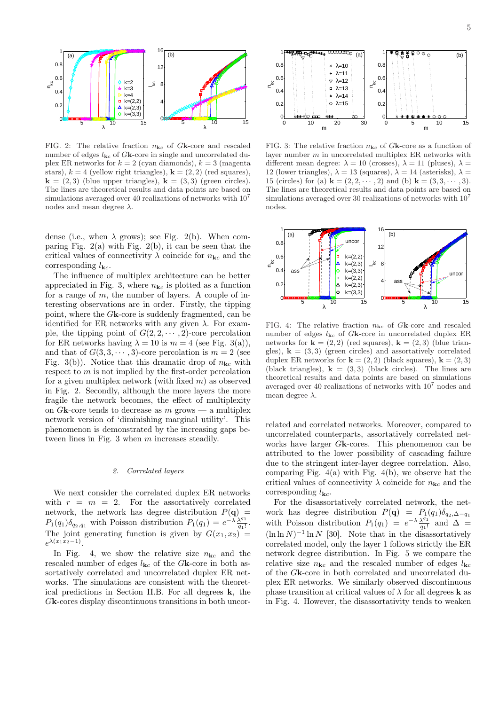

FIG. 2: The relative fraction *n***k***<sup>c</sup>* of *G***k**-core and rescaled number of edges  $l_{\mathbf{k}c}$  of  $G\mathbf{k}$ -core in single and uncorrelated duplex ER networks for  $k = 2$  (cyan diamonds),  $k = 3$  (magenta stars),  $k = 4$  (yellow right triangles),  $\mathbf{k} = (2, 2)$  (red squares),  $\mathbf{k} = (2, 3)$  (blue upper triangles),  $\mathbf{k} = (3, 3)$  (green circles). The lines are theoretical results and data points are based on simulations averaged over 40 realizations of networks with  $10<sup>7</sup>$ nodes and mean degree *λ*.

dense (i.e., when  $\lambda$  grows); see Fig. 2(b). When comparing Fig.  $2(a)$  with Fig.  $2(b)$ , it can be seen that the critical values of connectivity  $\lambda$  coincide for  $n_{\mathbf{k}c}$  and the corresponding  $l_{\mathbf{k}c}$ .

The influence of multiplex architecture can be better appreciated in Fig. 3, where  $n_{\mathbf{k}c}$  is plotted as a function for a range of *m*, the number of layers. A couple of interesting observations are in order. Firstly, the tipping point, where the *G***k**-core is suddenly fragmented, can be identified for ER networks with any given  $\lambda$ . For example, the tipping point of  $G(2, 2, \dots, 2)$ -core percolation for ER networks having  $\lambda = 10$  is  $m = 4$  (see Fig. 3(a)), and that of  $G(3,3,\dots,3)$ -core percolation is  $m=2$  (see Fig. 3(b)). Notice that this dramatic drop of  $n_{\mathbf{k}c}$  with respect to *m* is not implied by the first-order percolation for a given multiplex network (with fixed *m*) as observed in Fig. 2. Secondly, although the more layers the more fragile the network becomes, the effect of multiplexity on  $G$ **k**-core tends to decrease as  $m$  grows — a multiplex network version of 'diminishing marginal utility'. This phenomenon is demonstrated by the increasing gaps between lines in Fig. 3 when *m* increases steadily.

### *2. Correlated layers*

We next consider the correlated duplex ER networks with  $r = m = 2$ . For the assortatively correlated network, the network has degree distribution  $P(\mathbf{q}) =$  $P_1(q_1)\delta_{q_2,q_1}$  with Poisson distribution  $P_1(q_1) = e^{-\lambda} \frac{\lambda^{q_1}}{q_1!}$  $\frac{\lambda^{41}}{q_1!}$ . The joint generating function is given by  $G(x_1, x_2)$  =  $e^{\lambda(x_1x_2-1)}$ .

In Fig. 4, we show the relative size  $n_{\mathbf{k}c}$  and the rescaled number of edges  $l_{\mathbf{k}c}$  of the *G***k**-core in both assortatively correlated and uncorrelated duplex ER networks. The simulations are consistent with the theoretical predictions in Section II.B. For all degrees **k**, the *G***k**-cores display discontinuous transitions in both uncor-



FIG. 3: The relative fraction  $n_{\mathbf{k}c}$  of  $G\mathbf{k}$ -core as a function of layer number *m* in uncorrelated multiplex ER networks with different mean degree:  $\lambda = 10$  (crosses),  $\lambda = 11$  (pluses),  $\lambda =$ 12 (lower triangles),  $\lambda = 13$  (squares),  $\lambda = 14$  (asterisks),  $\lambda =$ 15 (circles) for (a)  $\mathbf{k} = (2, 2, \dots, 2)$  and (b)  $\mathbf{k} = (3, 3, \dots, 3)$ . The lines are theoretical results and data points are based on simulations averaged over 30 realizations of networks with  $10<sup>7</sup>$ nodes.



FIG. 4: The relative fraction  $n_{\mathbf{k}c}$  of Gk-core and rescaled number of edges  $l_{\mathbf{k}c}$  of  $G\mathbf{k}$ -core in uncorrelated duplex ER networks for  $\mathbf{k} = (2, 2)$  (red squares),  $\mathbf{k} = (2, 3)$  (blue triangles),  $\mathbf{k} = (3, 3)$  (green circles) and assortatively correlated duplex ER networks for  $\mathbf{k} = (2, 2)$  (black squares),  $\mathbf{k} = (2, 3)$ (black triangles),  $\mathbf{k} = (3,3)$  (black circles). The lines are theoretical results and data points are based on simulations averaged over 40 realizations of networks with  $10<sup>7</sup>$  nodes and mean degree *λ*.

related and correlated networks. Moreover, compared to uncorrelated counterparts, assortatively correlated networks have larger *G***k**-cores. This phenomenon can be attributed to the lower possibility of cascading failure due to the stringent inter-layer degree correlation. Also, comparing Fig.  $4(a)$  with Fig.  $4(b)$ , we observe hat the critical values of connectivity  $\lambda$  coincide for  $n_{\mathbf{k}c}$  and the corresponding  $l_{\mathbf{k}c}$ .

For the disassortatively correlated network, the network has degree distribution  $P(\mathbf{q}) = P_1(q_1)\delta_{q_2,\Delta-q_1}$ with Poisson distribution  $P_1(q_1) = e^{-\lambda} \frac{\lambda^{q_1}}{q_1!}$  $\frac{\lambda^{q_1}}{q_1!}$  and  $\Delta =$  $(\ln \ln N)^{-1} \ln N$  [30]. Note that in the disassortatively correlated model, only the layer 1 follows strictly the ER network degree distribution. In Fig. 5 we compare the relative size  $n_{\mathbf{k}c}$  and the rescaled number of edges  $l_{\mathbf{k}c}$ of the *G***k**-core in both correlated and uncorrelated duplex ER networks. We similarly observed discontinuous phase transition at critical values of  $\lambda$  for all degrees **k** as in Fig. 4. However, the disassortativity tends to weaken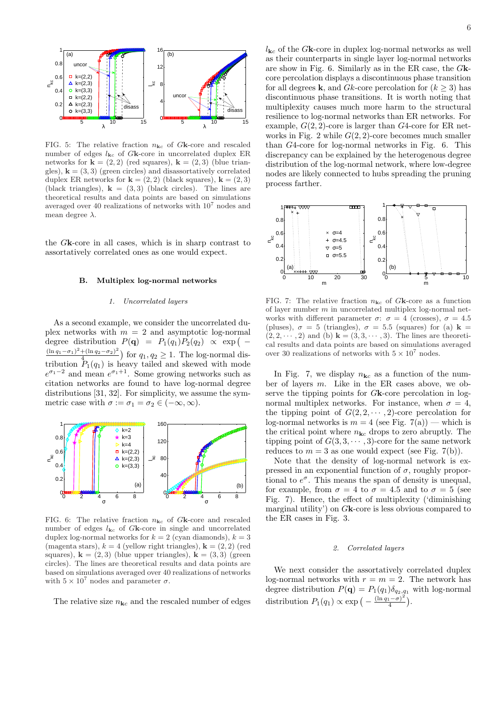

FIG. 5: The relative fraction  $n_{\mathbf{k}c}$  of *G***k**-core and rescaled number of edges  $l_{\mathbf{k}c}$  of  $G\mathbf{k}$ -core in uncorrelated duplex ER networks for  $\mathbf{k} = (2, 2)$  (red squares),  $\mathbf{k} = (2, 3)$  (blue triangles),  $\mathbf{k} = (3, 3)$  (green circles) and disassortatively correlated duplex ER networks for  $\mathbf{k} = (2, 2)$  (black squares),  $\mathbf{k} = (2, 3)$ (black triangles),  $\mathbf{k} = (3,3)$  (black circles). The lines are theoretical results and data points are based on simulations averaged over 40 realizations of networks with 10<sup>7</sup> nodes and mean degree *λ*.

the *G***k**-core in all cases, which is in sharp contrast to assortatively correlated ones as one would expect.

#### **B. Multiplex log-normal networks**

### *1. Uncorrelated layers*

As a second example, we consider the uncorrelated duplex networks with  $m = 2$  and asymptotic log-normal degree distribution  $P(\mathbf{q}) = P_1(q_1)P_2(q_2) \propto \exp(-\mathbf{q})$  $(\ln q_1 - \sigma_1)^2 + (\ln q_2 - \sigma_2)^2$  $\frac{4(\ln q_2-\sigma_2)^2}{4}$  for  $q_1, q_2 \geq 1$ . The log-normal distribution  $P_1(q_1)$  is heavy tailed and skewed with mode  $e^{\sigma_1 - 2}$  and mean  $e^{\sigma_1 + 1}$ . Some growing networks such as citation networks are found to have log-normal degree distributions [31, 32]. For simplicity, we assume the symmetric case with  $\sigma := \sigma_1 = \sigma_2 \in (-\infty, \infty)$ .



FIG. 6: The relative fraction  $n_{\mathbf{k}c}$  of *G***k**-core and rescaled number of edges  $l_{\mathbf{k}c}$  of *G***k**-core in single and uncorrelated duplex log-normal networks for  $k = 2$  (cyan diamonds),  $k = 3$ (magenta stars),  $k = 4$  (yellow right triangles),  $\mathbf{k} = (2, 2)$  (red squares),  $\mathbf{k} = (2, 3)$  (blue upper triangles),  $\mathbf{k} = (3, 3)$  (green) circles). The lines are theoretical results and data points are based on simulations averaged over 40 realizations of networks with  $5 \times 10^7$  nodes and parameter  $\sigma$ .

The relative size  $n_{\mathbf{k}c}$  and the rescaled number of edges

 $l_{{\bf k}c}$  of the  $G{\bf k}$  core in duplex log-normal networks as well as their counterparts in single layer log-normal networks are show in Fig. 6. Similarly as in the ER case, the *G***k**core percolation displays a discontinuous phase transition for all degrees **k**, and *Gk*-core percolation for  $(k \geq 3)$  has discontinuous phase transitions. It is worth noting that multiplexity causes much more harm to the structural resilience to log-normal networks than ER networks. For example, *G*(2*,* 2)-core is larger than *G*4-core for ER networks in Fig. 2 while *G*(2*,* 2)-core becomes much smaller than *G*4-core for log-normal networks in Fig. 6. This discrepancy can be explained by the heterogenous degree distribution of the log-normal network, where low-degree nodes are likely connected to hubs spreading the pruning process farther.



FIG. 7: The relative fraction  $n_{\mathbf{k}c}$  of Gk-core as a function of layer number *m* in uncorrelated multiplex log-normal networks with different parameter  $\sigma$ :  $\sigma = 4$  (crosses),  $\sigma = 4.5$ (pluses),  $\sigma = 5$  (triangles),  $\sigma = 5.5$  (squares) for (a)  $\mathbf{k} =$  $(2, 2, \dots, 2)$  and (b)  $\mathbf{k} = (3, 3, \dots, 3)$ . The lines are theoretical results and data points are based on simulations averaged over 30 realizations of networks with  $5 \times 10^7$  nodes.

In Fig. 7, we display  $n_{\mathbf{k}c}$  as a function of the number of layers *m*. Like in the ER cases above, we observe the tipping points for *G***k**-core percolation in lognormal multiplex networks. For instance, when  $\sigma = 4$ , the tipping point of  $G(2, 2, \dots, 2)$ -core percolation for log-normal networks is  $m = 4$  (see Fig. 7(a)) — which is the critical point where  $n_{\mathbf{k}c}$  drops to zero abruptly. The tipping point of  $G(3,3,\dots,3)$ -core for the same network reduces to  $m = 3$  as one would expect (see Fig. 7(b)).

Note that the density of log-normal network is expressed in an exponential function of  $\sigma$ , roughly proportional to  $e^{\sigma}$ . This means the span of density is unequal, for example, from  $\sigma = 4$  to  $\sigma = 4.5$  and to  $\sigma = 5$  (see Fig. 7). Hence, the effect of multiplexity ('diminishing marginal utility') on *G***k**-core is less obvious compared to the ER cases in Fig. 3.

### *2. Correlated layers*

We next consider the assortatively correlated duplex log-normal networks with  $r = m = 2$ . The network has degree distribution  $P(\mathbf{q}) = P_1(q_1) \delta_{q_2,q_1}$  with log-normal distribution  $P_1(q_1) \propto \exp\left(-\frac{(\ln q_1 - \sigma)^2}{4}\right)$  $\frac{(1-\sigma)^2}{4}$ ).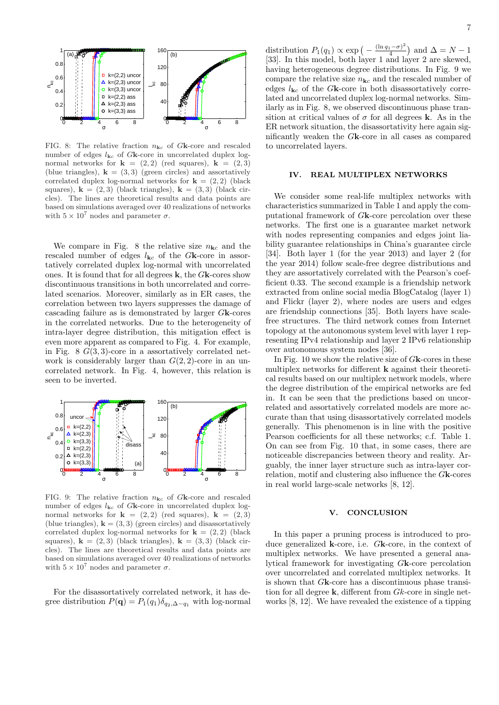

FIG. 8: The relative fraction *n***k***<sup>c</sup>* of *G***k**-core and rescaled number of edges  $l_{\mathbf{k}c}$  of *G***k**-core in uncorrelated duplex lognormal networks for  $\mathbf{k} = (2, 2)$  (red squares),  $\mathbf{k} = (2, 3)$ (blue triangles),  $\mathbf{k} = (3, 3)$  (green circles) and assortatively correlated duplex log-normal networks for  $\mathbf{k} = (2, 2)$  (black squares),  $\mathbf{k} = (2,3)$  (black triangles),  $\mathbf{k} = (3,3)$  (black circles). The lines are theoretical results and data points are based on simulations averaged over 40 realizations of networks with  $5 \times 10^7$  nodes and parameter  $\sigma$ .

We compare in Fig. 8 the relative size  $n_{\mathbf{k}c}$  and the rescaled number of edges  $l_{\mathbf{k}c}$  of the *G***k**-core in assortatively correlated duplex log-normal with uncorrelated ones. It is found that for all degrees **k**, the *G***k**-cores show discontinuous transitions in both uncorrelated and correlated scenarios. Moreover, similarly as in ER cases, the correlation between two layers suppresses the damage of cascading failure as is demonstrated by larger *G***k**-cores in the correlated networks. Due to the heterogeneity of intra-layer degree distribution, this mitigation effect is even more apparent as compared to Fig. 4. For example, in Fig. 8 *G*(3*,* 3)-core in a assortatively correlated network is considerably larger than  $G(2, 2)$ -core in an uncorrelated network. In Fig. 4, however, this relation is seen to be inverted.



FIG. 9: The relative fraction  $n_{\mathbf{k}c}$  of Gk-core and rescaled number of edges  $l_{\mathbf{k}c}$  of  $G\mathbf{k}$ -core in uncorrelated duplex lognormal networks for  $\mathbf{k} = (2, 2)$  (red squares),  $\mathbf{k} = (2, 3)$ (blue triangles),  $\mathbf{k} = (3, 3)$  (green circles) and disassortatively correlated duplex log-normal networks for  $\mathbf{k} = (2, 2)$  (black squares),  $\mathbf{k} = (2,3)$  (black triangles),  $\mathbf{k} = (3,3)$  (black circles). The lines are theoretical results and data points are based on simulations averaged over 40 realizations of networks with  $5 \times 10^7$  nodes and parameter  $\sigma$ .

For the disassortatively correlated network, it has degree distribution  $P(\mathbf{q}) = P_1(q_1) \delta_{q_2, \Delta - q_1}$  with log-normal

distribution  $P_1(q_1) \propto \exp\left(-\frac{(\ln q_1 - \sigma)^2}{4}\right)$  $\left(\frac{1-\sigma^2}{4}\right)$  and  $\Delta = N-1$ [33]. In this model, both layer 1 and layer 2 are skewed, having heterogeneous degree distributions. In Fig. 9 we compare the relative size  $n_{\mathbf{k}c}$  and the rescaled number of edges  $l_{\mathbf{k}c}$  of the *G***k**-core in both disassortatively correlated and uncorrelated duplex log-normal networks. Similarly as in Fig. 8, we observed discontinuous phase transition at critical values of  $\sigma$  for all degrees **k**. As in the ER network situation, the disassortativity here again significantly weaken the *G***k**-core in all cases as compared to uncorrelated layers.

### **IV. REAL MULTIPLEX NETWORKS**

We consider some real-life multiplex networks with characteristics summarized in Table 1 and apply the computational framework of *G***k**-core percolation over these networks. The first one is a guarantee market network with nodes representing companies and edges joint liability guarantee relationships in China's guarantee circle [34]. Both layer 1 (for the year 2013) and layer 2 (for the year 2014) follow scale-free degree distributions and they are assortatively correlated with the Pearson's coefficient 0.33. The second example is a friendship network extracted from online social media BlogCatalog (layer 1) and Flickr (layer 2), where nodes are users and edges are friendship connections [35]. Both layers have scalefree structures. The third network comes from Internet topology at the autonomous system level with layer 1 representing IPv4 relationship and layer 2 IPv6 relationship over autonomous system nodes [36].

In Fig. 10 we show the relative size of *G***k**-cores in these multiplex networks for different **k** against their theoretical results based on our multiplex network models, where the degree distribution of the empirical networks are fed in. It can be seen that the predictions based on uncorrelated and assortatively correlated models are more accurate than that using disassortatively correlated models generally. This phenomenon is in line with the positive Pearson coefficients for all these networks; c.f. Table 1. On can see from Fig. 10 that, in some cases, there are noticeable discrepancies between theory and reality. Arguably, the inner layer structure such as intra-layer correlation, motif and clustering also influence the *G***k**-cores in real world large-scale networks [8, 12].

## **V. CONCLUSION**

In this paper a pruning process is introduced to produce generalized **k**-core, i.e. *G***k**-core, in the context of multiplex networks. We have presented a general analytical framework for investigating *G***k**-core percolation over uncorrelated and correlated multiplex networks. It is shown that *G***k**-core has a discontinuous phase transition for all degree **k**, different from *Gk*-core in single networks [8, 12]. We have revealed the existence of a tipping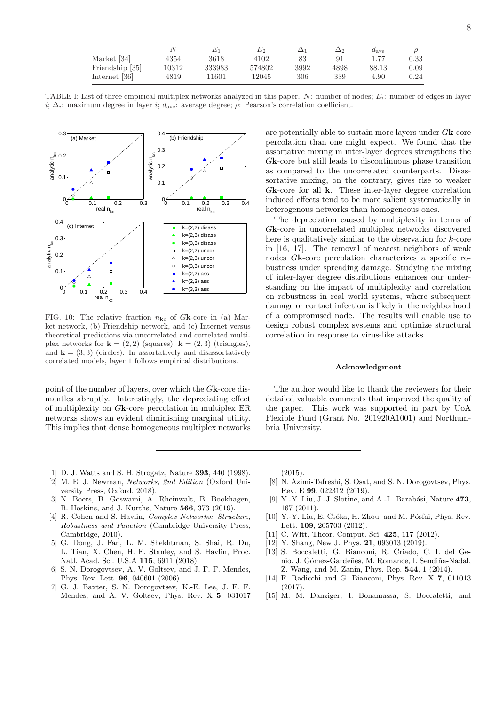|                    |       |        |        |      |      | $u_{\rm ave}$ |            |
|--------------------|-------|--------|--------|------|------|---------------|------------|
| Market [34]        | 4354  | 3618   | 4102   | 83   |      | 77            | $\rm 0.33$ |
| [35]<br>Friendship | '0312 | 333983 | 574802 | 3992 | 4898 | 88.13         | $_{0.09}$  |
| Internet [36]      | 4819  | 1601   | 12045  | 306  | 339  | 4.90          | $\rm 0.24$ |

TABLE I: List of three empirical multiplex networks analyzed in this paper. *N*: number of nodes; *Ei*: number of edges in layer *i*;  $\Delta_i$ : maximum degree in layer *i*;  $d_{ave}$ : average degree; *ρ*: Pearson's correlation coefficient.



FIG. 10: The relative fraction  $n_{\mathbf{k}c}$  of *G***k**-core in (a) Market network, (b) Friendship network, and (c) Internet versus theoretical predictions via uncorrelated and correlated multiplex networks for  $\mathbf{k} = (2, 2)$  (squares),  $\mathbf{k} = (2, 3)$  (triangles), and  $\mathbf{k} = (3, 3)$  (circles). In assortatively and disassortatively correlated models, layer 1 follows empirical distributions.

point of the number of layers, over which the *G***k**-core dismantles abruptly. Interestingly, the depreciating effect of multiplexity on *G***k**-core percolation in multiplex ER networks shows an evident diminishing marginal utility. This implies that dense homogeneous multiplex networks are potentially able to sustain more layers under *G***k**-core percolation than one might expect. We found that the assortative mixing in inter-layer degrees strengthens the *G***k**-core but still leads to discontinuous phase transition as compared to the uncorrelated counterparts. Disassortative mixing, on the contrary, gives rise to weaker *G***k**-core for all **k**. These inter-layer degree correlation induced effects tend to be more salient systematically in heterogenous networks than homogeneous ones.

The depreciation caused by multiplexity in terms of *G***k**-core in uncorrelated multiplex networks discovered here is qualitatively similar to the observation for *k*-core in [16, 17]. The removal of nearest neighbors of weak nodes *G***k**-core percolation characterizes a specific robustness under spreading damage. Studying the mixing of inter-layer degree distributions enhances our understanding on the impact of multiplexity and correlation on robustness in real world systems, where subsequent damage or contact infection is likely in the neighborhood of a compromised node. The results will enable use to design robust complex systems and optimize structural correlation in response to virus-like attacks.

#### **Acknowledgment**

The author would like to thank the reviewers for their detailed valuable comments that improved the quality of the paper. This work was supported in part by UoA Flexible Fund (Grant No. 201920A1001) and Northumbria University.

- [1] D. J. Watts and S. H. Strogatz, Nature **393**, 440 (1998).
- [2] M. E. J. Newman, *Networks, 2nd Edition* (Oxford University Press, Oxford, 2018).
- [3] N. Boers, B. Goswami, A. Rheinwalt, B. Bookhagen, B. Hoskins, and J. Kurths, Nature **566**, 373 (2019).
- [4] R. Cohen and S. Havlin, *Complex Networks: Structure, Robustness and Function* (Cambridge University Press, Cambridge, 2010).
- [5] G. Dong, J. Fan, L. M. Shekhtman, S. Shai, R. Du, L. Tian, X. Chen, H. E. Stanley, and S. Havlin, Proc. Natl. Acad. Sci. U.S.A **115**, 6911 (2018).
- [6] S. N. Dorogovtsev, A. V. Goltsev, and J. F. F. Mendes, Phys. Rev. Lett. **96**, 040601 (2006).
- [7] G. J. Baxter, S. N. Dorogovtsev, K.-E. Lee, J. F. F. Mendes, and A. V. Goltsev, Phys. Rev. X **5**, 031017

(2015).

- [8] N. Azimi-Tafreshi, S. Osat, and S. N. Dorogovtsev, Phys. Rev. E **99**, 022312 (2019).
- [9] Y.-Y. Liu, J.-J. Slotine, and A.-L. Barabási, Nature 473, 167 (2011).
- [10] Y.-Y. Liu, E. Csóka, H. Zhou, and M. Pósfai, Phys. Rev. Lett. **109**, 205703 (2012).
- [11] C. Witt, Theor. Comput. Sci. **425**, 117 (2012).
- [12] Y. Shang, New J. Phys. **21**, 093013 (2019).
- [13] S. Boccaletti, G. Bianconi, R. Criado, C. I. del Genio, J. Gómez-Gardeñes, M. Romance, I. Sendiña-Nadal, Z. Wang, and M. Zanin, Phys. Rep. **544**, 1 (2014).
- [14] F. Radicchi and G. Bianconi, Phys. Rev. X **7**, 011013 (2017).
- [15] M. M. Danziger, I. Bonamassa, S. Boccaletti, and